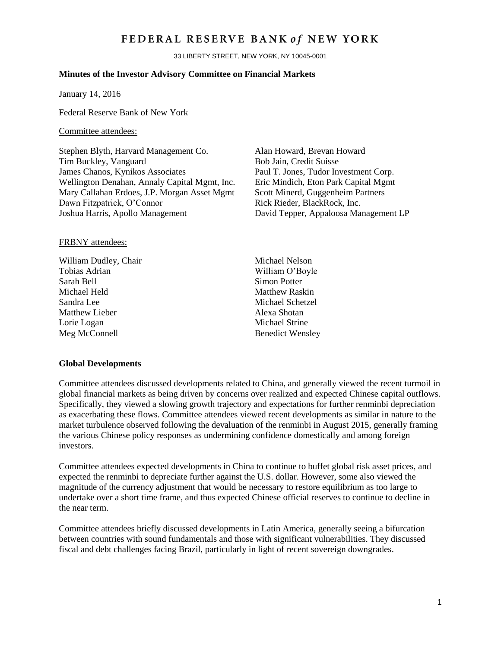## FEDERAL RESERVE BANK of NEW YORK

33 LIBERTY STREET, NEW YORK, NY 10045-0001

#### **Minutes of the Investor Advisory Committee on Financial Markets**

January 14, 2016

Federal Reserve Bank of New York

#### Committee attendees:

Stephen Blyth, Harvard Management Co. Alan Howard, Brevan Howard Tim Buckley, Vanguard Bob Jain, Credit Suisse James Chanos, Kynikos Associates Paul T. Jones, Tudor Investment Corp. Wellington Denahan, Annaly Capital Mgmt, Inc. Eric Mindich, Eton Park Capital Mgmt Mary Callahan Erdoes, J.P. Morgan Asset Mgmt Dawn Fitzpatrick, O'Connor Joshua Harris, Apollo Management David Tepper, Appaloosa Management LP

Scott Minerd, Guggenheim Partners Rick Rieder, BlackRock, Inc.

#### FRBNY attendees:

- William Dudley, Chair Michael Nelson Tobias Adrian William O'Boyle Sarah Bell Simon Potter Michael Held Matthew Raskin Sandra Lee Michael Schetzel Matthew Lieber **Alexa** Shotan Lorie Logan Michael Strine Meg McConnell Benedict Wensley
	-

#### **Global Developments**

Committee attendees discussed developments related to China, and generally viewed the recent turmoil in global financial markets as being driven by concerns over realized and expected Chinese capital outflows. Specifically, they viewed a slowing growth trajectory and expectations for further renminbi depreciation as exacerbating these flows. Committee attendees viewed recent developments as similar in nature to the market turbulence observed following the devaluation of the renminbi in August 2015, generally framing the various Chinese policy responses as undermining confidence domestically and among foreign investors.

Committee attendees expected developments in China to continue to buffet global risk asset prices, and expected the renminbi to depreciate further against the U.S. dollar. However, some also viewed the magnitude of the currency adjustment that would be necessary to restore equilibrium as too large to undertake over a short time frame, and thus expected Chinese official reserves to continue to decline in the near term.

Committee attendees briefly discussed developments in Latin America, generally seeing a bifurcation between countries with sound fundamentals and those with significant vulnerabilities. They discussed fiscal and debt challenges facing Brazil, particularly in light of recent sovereign downgrades.